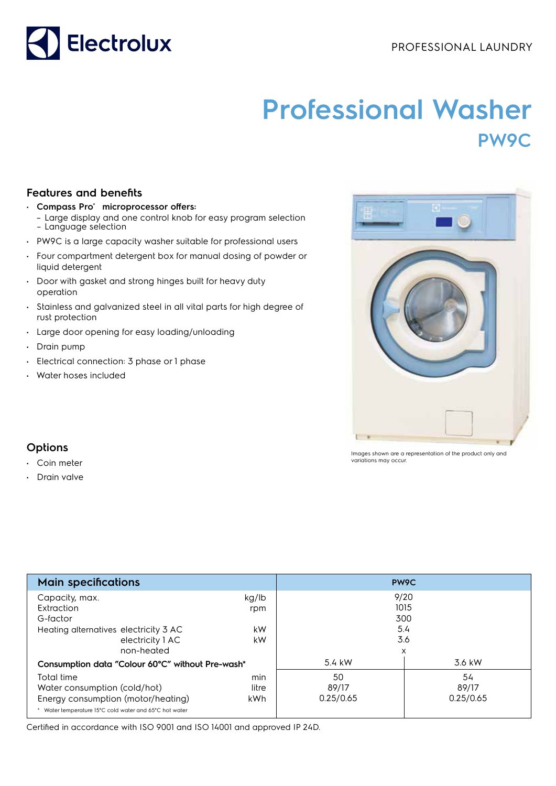

## **Professional Washer PW9C**

## **Features and benefits**

- **Compass Pro® microprocessor offers:**
- Large display and one control knob for easy program selection – Language selection
- PW9C is a large capacity washer suitable for professional users
- Four compartment detergent box for manual dosing of powder or liquid detergent
- Door with gasket and strong hinges built for heavy duty operation
- Stainless and galvanized steel in all vital parts for high degree of rust protection
- Large door opening for easy loading/unloading
- Drain pump
- Electrical connection: 3 phase or 1 phase
- Water hoses included



Images shown are a representation of the product only and variations may occur.

## **Options**

- Coin meter
- Drain valve

| <b>Main specifications</b>                                                                                                                 |                          | PW9C                                   |                          |  |
|--------------------------------------------------------------------------------------------------------------------------------------------|--------------------------|----------------------------------------|--------------------------|--|
| Capacity, max.<br>Extraction<br>G-factor<br>Heating alternatives electricity 3 AC<br>electricity 1 AC<br>non-heated                        | kg/lb<br>rpm<br>kW<br>kW | 9/20<br>1015<br>300<br>5.4<br>3.6<br>X |                          |  |
| Consumption data "Colour 60°C" without Pre-wash*                                                                                           |                          | 5.4 kW                                 | 3.6 kW                   |  |
| Total time<br>Water consumption (cold/hot)<br>Energy consumption (motor/heating)<br>* Water temperature 15°C cold water and 65°C hot water | min<br>litre<br>kWh      | 50<br>89/17<br>0.25/0.65               | 54<br>89/17<br>0.25/0.65 |  |

Certified in accordance with ISO 9001 and ISO 14001 and approved IP 24D.